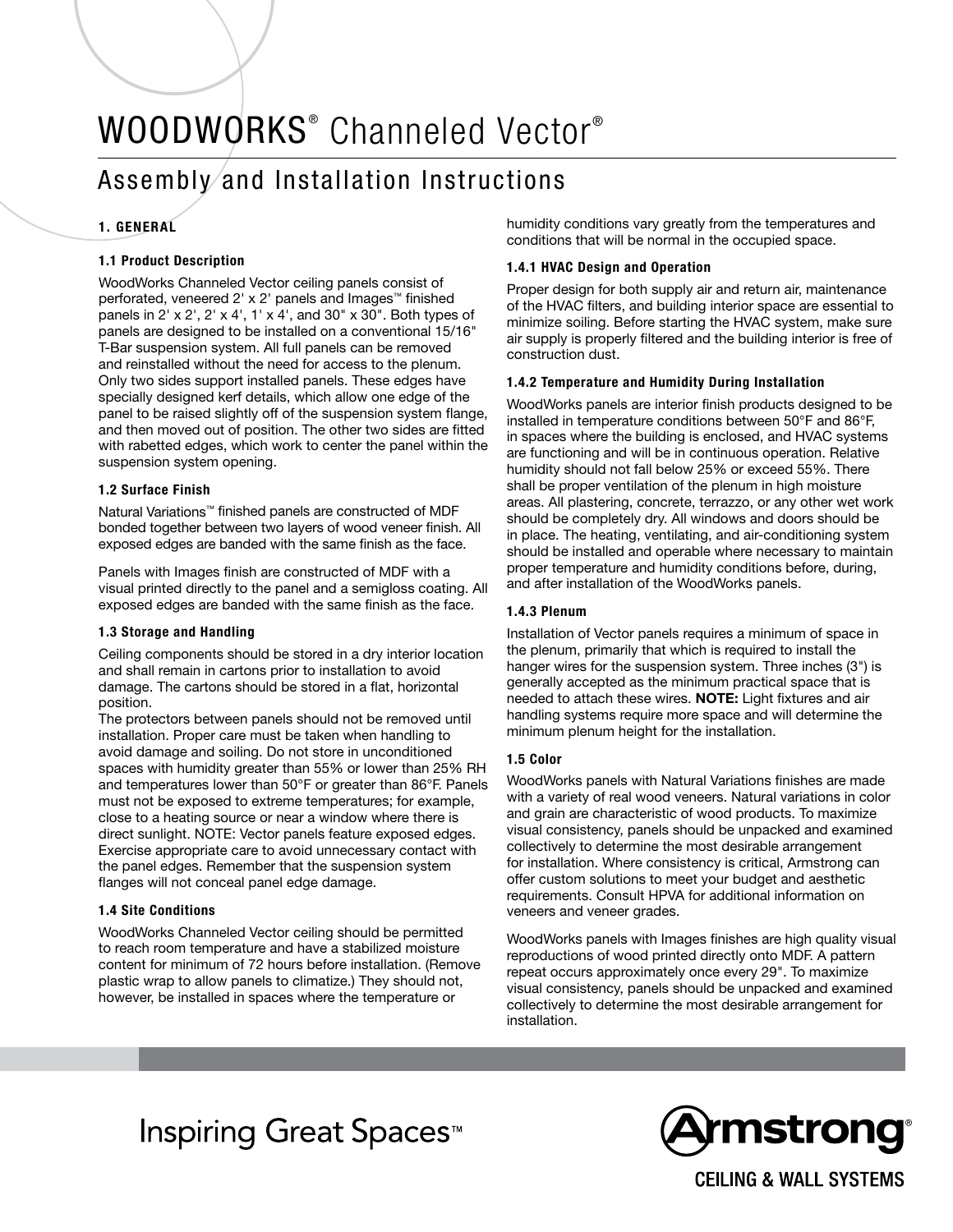# $\mathsf{WOODWOKS}^{\scriptscriptstyle{\circ}}$  Channeled Vector $^{\scriptscriptstyle{\circ}}$

# Assembly and Installation Instructions

# 1. GENERAL

# 1.1 Product Description

WoodWorks Channeled Vector ceiling panels consist of perforated, veneered 2' x 2' panels and Images™ finished panels in 2' x 2', 2' x 4', 1' x 4', and 30" x 30". Both types of panels are designed to be installed on a conventional 15/16" T-Bar suspension system. All full panels can be removed and reinstalled without the need for access to the plenum. Only two sides support installed panels. These edges have specially designed kerf details, which allow one edge of the panel to be raised slightly off of the suspension system flange, and then moved out of position. The other two sides are fitted with rabetted edges, which work to center the panel within the suspension system opening.

# 1.2 Surface Finish

Natural Variations™ finished panels are constructed of MDF bonded together between two layers of wood veneer finish. All exposed edges are banded with the same finish as the face.

Panels with Images finish are constructed of MDF with a visual printed directly to the panel and a semigloss coating. All exposed edges are banded with the same finish as the face.

# 1.3 Storage and Handling

Ceiling components should be stored in a dry interior location and shall remain in cartons prior to installation to avoid damage. The cartons should be stored in a flat, horizontal position.

The protectors between panels should not be removed until installation. Proper care must be taken when handling to avoid damage and soiling. Do not store in unconditioned spaces with humidity greater than 55% or lower than 25% RH and temperatures lower than 50°F or greater than 86°F. Panels must not be exposed to extreme temperatures; for example, close to a heating source or near a window where there is direct sunlight. NOTE: Vector panels feature exposed edges. Exercise appropriate care to avoid unnecessary contact with the panel edges. Remember that the suspension system flanges will not conceal panel edge damage.

# 1.4 Site Conditions

WoodWorks Channeled Vector ceiling should be permitted to reach room temperature and have a stabilized moisture content for minimum of 72 hours before installation. (Remove plastic wrap to allow panels to climatize.) They should not, however, be installed in spaces where the temperature or

humidity conditions vary greatly from the temperatures and conditions that will be normal in the occupied space.

# 1.4.1 HVAC Design and Operation

Proper design for both supply air and return air, maintenance of the HVAC filters, and building interior space are essential to minimize soiling. Before starting the HVAC system, make sure air supply is properly filtered and the building interior is free of construction dust.

# 1.4.2 Temperature and Humidity During Installation

WoodWorks panels are interior finish products designed to be installed in temperature conditions between 50°F and 86°F, in spaces where the building is enclosed, and HVAC systems are functioning and will be in continuous operation. Relative humidity should not fall below 25% or exceed 55%. There shall be proper ventilation of the plenum in high moisture areas. All plastering, concrete, terrazzo, or any other wet work should be completely dry. All windows and doors should be in place. The heating, ventilating, and air-conditioning system should be installed and operable where necessary to maintain proper temperature and humidity conditions before, during, and after installation of the WoodWorks panels.

# 1.4.3 Plenum

Installation of Vector panels requires a minimum of space in the plenum, primarily that which is required to install the hanger wires for the suspension system. Three inches (3") is generally accepted as the minimum practical space that is needed to attach these wires. NOTE: Light fixtures and air handling systems require more space and will determine the minimum plenum height for the installation.

# 1.5 Color

WoodWorks panels with Natural Variations finishes are made with a variety of real wood veneers. Natural variations in color and grain are characteristic of wood products. To maximize visual consistency, panels should be unpacked and examined collectively to determine the most desirable arrangement for installation. Where consistency is critical, Armstrong can offer custom solutions to meet your budget and aesthetic requirements. Consult HPVA for additional information on veneers and veneer grades.

WoodWorks panels with Images finishes are high quality visual reproductions of wood printed directly onto MDF. A pattern repeat occurs approximately once every 29". To maximize visual consistency, panels should be unpacked and examined collectively to determine the most desirable arrangement for installation.

**Inspiring Great Spaces**<sup>™</sup>

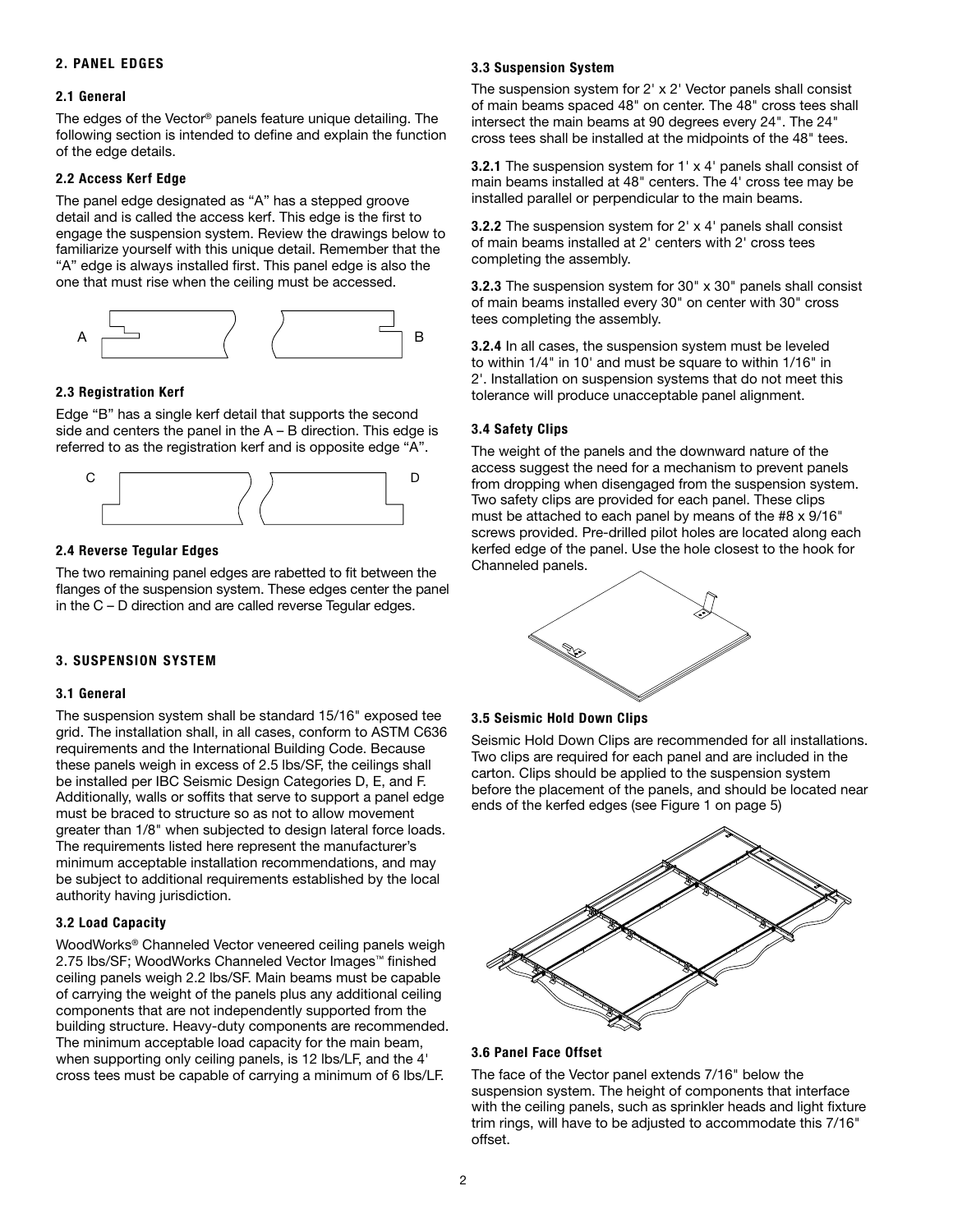# 2. PANEL EDGES

# 2.1 General

The edges of the Vector® panels feature unique detailing. The following section is intended to define and explain the function of the edge details.

# 2.2 Access Kerf Edge

The panel edge designated as "A" has a stepped groove detail and is called the access kerf. This edge is the first to engage the suspension system. Review the drawings below to familiarize yourself with this unique detail. Remember that the "A" edge is always installed first. This panel edge is also the one that must rise when the ceiling must be accessed.



# 2.3 Registration Kerf

Edge "B" has a single kerf detail that supports the second side and centers the panel in the  $A - B$  direction. This edge is referred to as the registration kerf and is opposite edge "A".



# 2.4 Reverse Tegular Edges

The two remaining panel edges are rabetted to fit between the flanges of the suspension system. These edges center the panel in the C – D direction and are called reverse Tegular edges.

# 3. SUSPENSION SYSTEM

# 3.1 General

The suspension system shall be standard 15/16" exposed tee grid. The installation shall, in all cases, conform to ASTM C636 requirements and the International Building Code. Because these panels weigh in excess of 2.5 lbs/SF, the ceilings shall be installed per IBC Seismic Design Categories D, E, and F. Additionally, walls or soffits that serve to support a panel edge must be braced to structure so as not to allow movement greater than 1/8" when subjected to design lateral force loads. The requirements listed here represent the manufacturer's minimum acceptable installation recommendations, and may be subject to additional requirements established by the local authority having jurisdiction.

# 3.2 Load Capacity

WoodWorks® Channeled Vector veneered ceiling panels weigh 2.75 lbs/SF; WoodWorks Channeled Vector Images™ finished ceiling panels weigh 2.2 lbs/SF. Main beams must be capable of carrying the weight of the panels plus any additional ceiling components that are not independently supported from the building structure. Heavy-duty components are recommended. The minimum acceptable load capacity for the main beam, when supporting only ceiling panels, is 12 lbs/LF, and the 4' cross tees must be capable of carrying a minimum of 6 lbs/LF.

### 3.3 Suspension System

The suspension system for 2' x 2' Vector panels shall consist of main beams spaced 48" on center. The 48" cross tees shall intersect the main beams at 90 degrees every 24". The 24" cross tees shall be installed at the midpoints of the 48" tees.

3.2.1 The suspension system for 1' x 4' panels shall consist of main beams installed at 48" centers. The 4' cross tee may be installed parallel or perpendicular to the main beams.

3.2.2 The suspension system for 2' x 4' panels shall consist of main beams installed at 2' centers with 2' cross tees completing the assembly.

3.2.3 The suspension system for 30" x 30" panels shall consist of main beams installed every 30" on center with 30" cross tees completing the assembly.

3.2.4 In all cases, the suspension system must be leveled to within 1/4" in 10' and must be square to within 1/16" in 2'. Installation on suspension systems that do not meet this tolerance will produce unacceptable panel alignment.

# 3.4 Safety Clips

The weight of the panels and the downward nature of the access suggest the need for a mechanism to prevent panels from dropping when disengaged from the suspension system. Two safety clips are provided for each panel. These clips must be attached to each panel by means of the #8 x 9/16" screws provided. Pre-drilled pilot holes are located along each kerfed edge of the panel. Use the hole closest to the hook for Channeled panels.



# 3.5 Seismic Hold Down Clips

Seismic Hold Down Clips are recommended for all installations. Two clips are required for each panel and are included in the carton. Clips should be applied to the suspension system before the placement of the panels, and should be located near ends of the kerfed edges (see Figure 1 on page 5)



# 3.6 Panel Face Offset

The face of the Vector panel extends 7/16" below the suspension system. The height of components that interface with the ceiling panels, such as sprinkler heads and light fixture trim rings, will have to be adjusted to accommodate this 7/16" offset.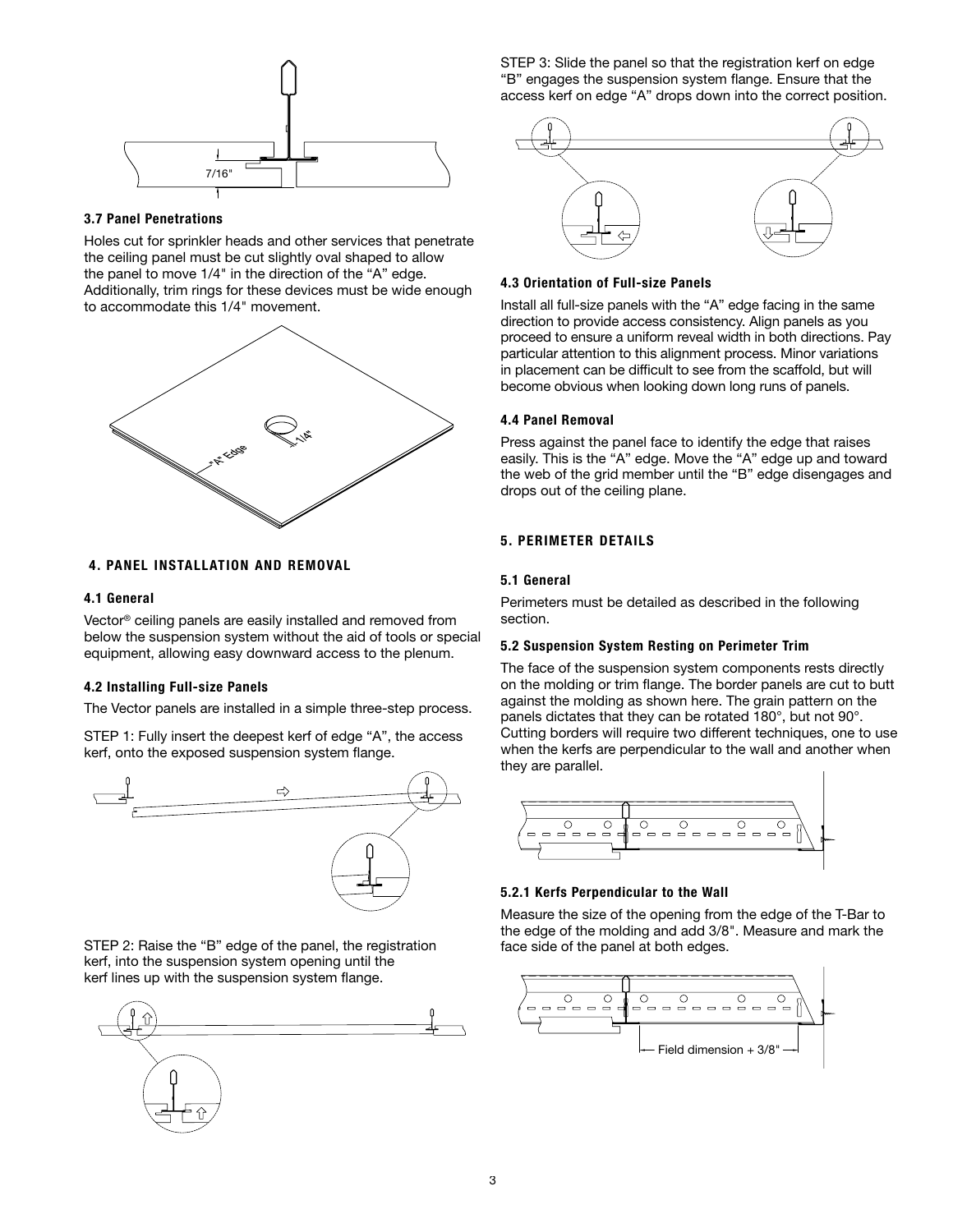

# 3.7 Panel Penetrations

Holes cut for sprinkler heads and other services that penetrate the ceiling panel must be cut slightly oval shaped to allow the panel to move 1/4" in the direction of the "A" edge. Additionally, trim rings for these devices must be wide enough to accommodate this 1/4" movement.



# 4. PANEL INSTALLATION AND REMOVAL

#### 4.1 General

Vector® ceiling panels are easily installed and removed from below the suspension system without the aid of tools or special equipment, allowing easy downward access to the plenum.

#### 4.2 Installing Full-size Panels

The Vector panels are installed in a simple three-step process.

STEP 1: Fully insert the deepest kerf of edge "A", the access kerf, onto the exposed suspension system flange.



STEP 2: Raise the "B" edge of the panel, the registration kerf, into the suspension system opening until the kerf lines up with the suspension system flange.



STEP 3: Slide the panel so that the registration kerf on edge "B" engages the suspension system flange. Ensure that the access kerf on edge "A" drops down into the correct position.



#### 4.3 Orientation of Full-size Panels

Install all full-size panels with the "A" edge facing in the same direction to provide access consistency. Align panels as you proceed to ensure a uniform reveal width in both directions. Pay particular attention to this alignment process. Minor variations in placement can be difficult to see from the scaffold, but will become obvious when looking down long runs of panels.

#### 4.4 Panel Removal

Press against the panel face to identify the edge that raises easily. This is the "A" edge. Move the "A" edge up and toward the web of the grid member until the "B" edge disengages and drops out of the ceiling plane.

#### 5. PERIMETER DETAILS

# 5.1 General

Perimeters must be detailed as described in the following section.

#### 5.2 Suspension System Resting on Perimeter Trim

The face of the suspension system components rests directly on the molding or trim flange. The border panels are cut to butt against the molding as shown here. The grain pattern on the panels dictates that they can be rotated 180°, but not 90°. Cutting borders will require two different techniques, one to use when the kerfs are perpendicular to the wall and another when they are parallel.



#### 5.2.1 Kerfs Perpendicular to the Wall

Measure the size of the opening from the edge of the T-Bar to the edge of the molding and add 3/8". Measure and mark the face side of the panel at both edges.

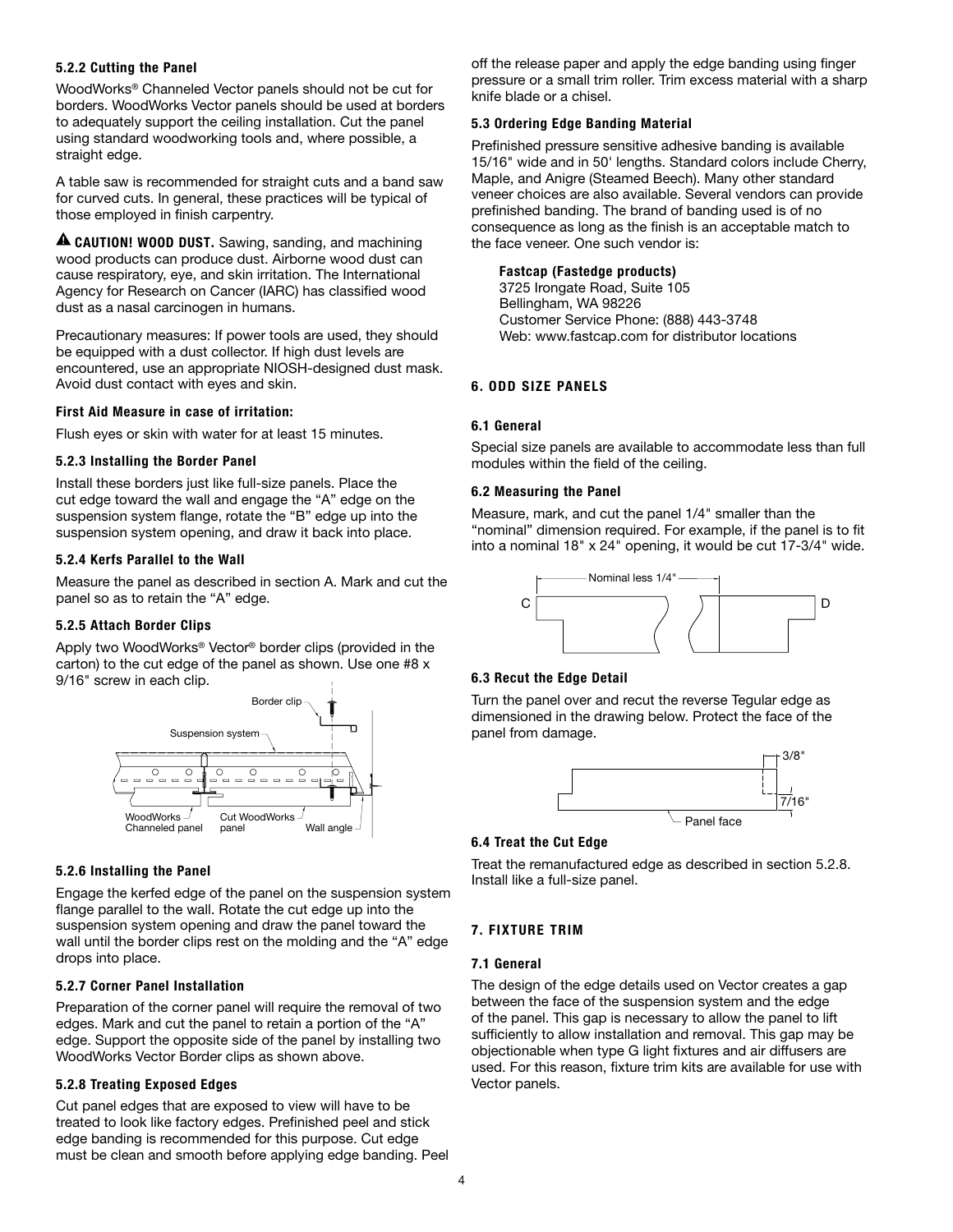# 5.2.2 Cutting the Panel

WoodWorks® Channeled Vector panels should not be cut for borders. WoodWorks Vector panels should be used at borders to adequately support the ceiling installation. Cut the panel using standard woodworking tools and, where possible, a straight edge.

A table saw is recommended for straight cuts and a band saw for curved cuts. In general, these practices will be typical of those employed in finish carpentry.

A CAUTION! WOOD DUST. Sawing, sanding, and machining wood products can produce dust. Airborne wood dust can cause respiratory, eye, and skin irritation. The International Agency for Research on Cancer (IARC) has classified wood dust as a nasal carcinogen in humans.

Precautionary measures: If power tools are used, they should be equipped with a dust collector. If high dust levels are encountered, use an appropriate NIOSH-designed dust mask. Avoid dust contact with eyes and skin.

# First Aid Measure in case of irritation:

Flush eyes or skin with water for at least 15 minutes.

# 5.2.3 Installing the Border Panel

Install these borders just like full-size panels. Place the cut edge toward the wall and engage the "A" edge on the suspension system flange, rotate the "B" edge up into the suspension system opening, and draw it back into place.

# 5.2.4 Kerfs Parallel to the Wall

Measure the panel as described in section A. Mark and cut the panel so as to retain the "A" edge.

# 5.2.5 Attach Border Clips

Apply two WoodWorks® Vector® border clips (provided in the carton) to the cut edge of the panel as shown. Use one #8 x 9/16" screw in each clip.



# 5.2.6 Installing the Panel

Engage the kerfed edge of the panel on the suspension system flange parallel to the wall. Rotate the cut edge up into the suspension system opening and draw the panel toward the wall until the border clips rest on the molding and the "A" edge drops into place.

#### 5.2.7 Corner Panel Installation

Preparation of the corner panel will require the removal of two edges. Mark and cut the panel to retain a portion of the "A" edge. Support the opposite side of the panel by installing two WoodWorks Vector Border clips as shown above.

# 5.2.8 Treating Exposed Edges

Cut panel edges that are exposed to view will have to be treated to look like factory edges. Prefinished peel and stick edge banding is recommended for this purpose. Cut edge must be clean and smooth before applying edge banding. Peel off the release paper and apply the edge banding using finger pressure or a small trim roller. Trim excess material with a sharp knife blade or a chisel.

# 5.3 Ordering Edge Banding Material

Prefinished pressure sensitive adhesive banding is available 15/16" wide and in 50' lengths. Standard colors include Cherry, Maple, and Anigre (Steamed Beech). Many other standard veneer choices are also available. Several vendors can provide prefinished banding. The brand of banding used is of no consequence as long as the finish is an acceptable match to the face veneer. One such vendor is:

# Fastcap (Fastedge products)

3725 Irongate Road, Suite 105 Bellingham, WA 98226 Customer Service Phone: (888) 443-3748 Web: www.fastcap.com for distributor locations

# 6. ODD SIZE PANELS

# 6.1 General

Special size panels are available to accommodate less than full modules within the field of the ceiling.

# 6.2 Measuring the Panel

Measure, mark, and cut the panel 1/4" smaller than the "nominal" dimension required. For example, if the panel is to fit into a nominal 18" x 24" opening, it would be cut 17-3/4" wide.



# 6.3 Recut the Edge Detail

Turn the panel over and recut the reverse Tegular edge as dimensioned in the drawing below. Protect the face of the panel from damage.



# 6.4 Treat the Cut Edge

Treat the remanufactured edge as described in section 5.2.8. Install like a full-size panel.

# 7. FIXTURE TRIM

# 7.1 General

The design of the edge details used on Vector creates a gap between the face of the suspension system and the edge of the panel. This gap is necessary to allow the panel to lift sufficiently to allow installation and removal. This gap may be objectionable when type G light fixtures and air diffusers are used. For this reason, fixture trim kits are available for use with Vector panels.